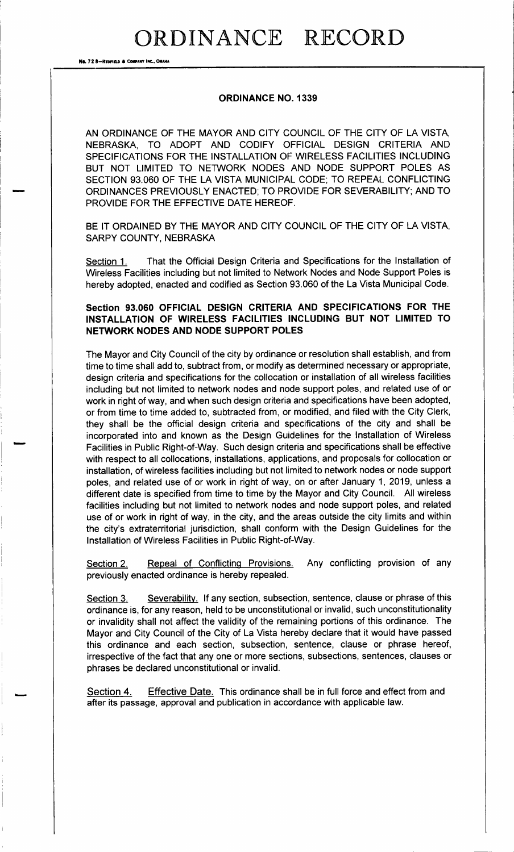## ORDINANCE RECORD

Na. 72 8-Repeats & COUPANY INC.

#### ORDINANCE NO. 1339

AN ORDINANCE OF THE MAYOR AND CITY COUNCIL OF THE CITY OF LA VISTA, NEBRASKA, TO ADOPT AND CODIFY OFFICIAL DESIGN CRITERIA AND SPECIFICATIONS FOR THE INSTALLATION OF WIRELESS FACILITIES INCLUDING BUT NOT LIMITED TO NETWORK NODES AND NODE SUPPORT POLES AS SECTION 93.060 OF THE LA VISTA MUNICIPAL CODE; TO REPEAL CONFLICTING ORDINANCES PREVIOUSLY ENACTED; TO PROVIDE FOR SEVERABILITY; AND TO PROVIDE FOR THE EFFECTIVE DATE HEREOF.

BE IT ORDAINED BY THE MAYOR AND CITY COUNCIL OF THE CITY OF LA VISTA, SARPY COUNTY, NEBRASKA

Section 1. That the Official Design Criteria and Specifications for the Installation of Wireless Facilities including but not limited to Network Nodes and Node Support Poles is hereby adopted, enacted and codified as Section 93. 060 of the La Vista Municipal Code.

### Section 93.060 OFFICIAL DESIGN CRITERIA AND SPECIFICATIONS FOR THE INSTALLATION OF WIRELESS FACILITIES INCLUDING BUT NOT LIMITED TO NETWORK NODES AND NODE SUPPORT POLES

The Mayor and City Council of the city by ordinance or resolution shall establish, and from time to time shall add to, subtract from, or modify as determined necessary or appropriate, design criteria and specifications for the collocation or installation of all wireless facilities including but not limited to network nodes and node support poles, and related use of or work in right of way, and when such design criteria and specifications have been adopted, or from time to time added to, subtracted from, or modified, and filed with the City Clerk, they shall be the official design criteria and specifications of the city and shall be incorporated into and known as the Design Guidelines for the Installation of Wireless Facilities in Public Right-of-Way. Such design criteria and specifications shall be effective with respect to all collocations, installations, applications, and proposals for collocation or installation, of wireless facilities including but not limited to network nodes or node support poles, and related use of or work in right of way, on or after January 1, 2019, unless a different date is specified from time to time by the Mayor and City Council. All wireless facilities including but not limited to network nodes and node support poles, and related use of or work in right of way, in the city, and the areas outside the city limits and within the city's extraterritorial jurisdiction, shall conform with the Design Guidelines for the Installation of Wireless Facilities in Public Right-of-Way.

Section 2. Repeal of Conflicting Provisions. Any conflicting provision of any previously enacted ordinance is hereby repealed.

Section 3. Severability. If any section, subsection, sentence, clause or phrase of this ordinance is, for any reason, held to be unconstitutional or invalid, such unconstitutionality or invalidity shall not affect the validity of the remaining portions of this ordinance. The Mayor and City Council of the City of La Vista hereby declare that it would have passed this ordinance and each section, subsection, sentence, clause or phrase hereof, irrespective of the fact that any one or more sections, subsections, sentences, clauses or phrases be declared unconstitutional or invalid.

Section 4. Effective Date. This ordinance shall be in full force and effect from and after its passage, approval and publication in accordance with applicable law.